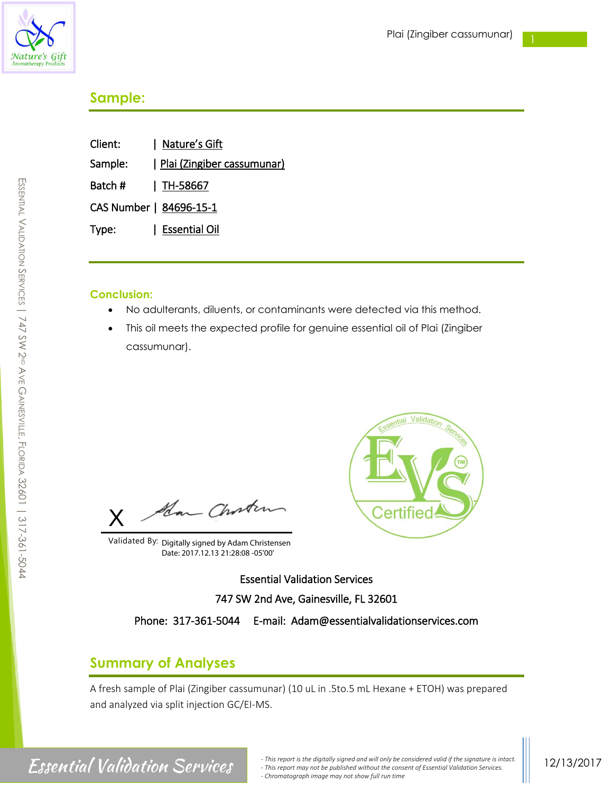

# **Sample:**

| Client:                 | Nature's Gift              |
|-------------------------|----------------------------|
| Sample:                 | Plai (Zingiber cassumunar) |
| Batch #                 | $\mid$ TH-58667            |
| CAS Number   84696-15-1 |                            |
| Type:                   | Essential Oil              |
|                         |                            |

### **Conclusion:**

- No adulterants, diluents, or contaminants were detected via this method.
- This oil meets the expected profile for genuine essential oil of Plai (Zingiber cassumunar).

Han Choster X

Validated By: Digitally signed by Adam Christensen Date: 2017.12.13 21:28:08 -05'00'



Essential Validation Services 747 SW 2nd Ave, Gainesville, FL 32601

Phone: 317-361-5044 E-mail: Adam@essentialvalidationservices.com

## **Summary of Analyses**

A fresh sample of Plai (Zingiber cassumunar) (10 uL in .5to.5 mL Hexane + ETOH) was prepared and analyzed via split injection GC/EI-MS.

# SSENTIAL  $\,<$ ALIDATION  $\mathcal{S}$ ERVICES | 747 SW 2ND AVE GAINESVILLE.<br>ה LORIDA 32601 | 317-361-5044

m

*<sup>-</sup> This report is the digitally signed and will only be considered valid if the signature is intact. CSSCHTIAI*  $Valiation$  Services. *- This report may not be published without the consent of Essential Validation Services. - Chromatograph image may not show full run time*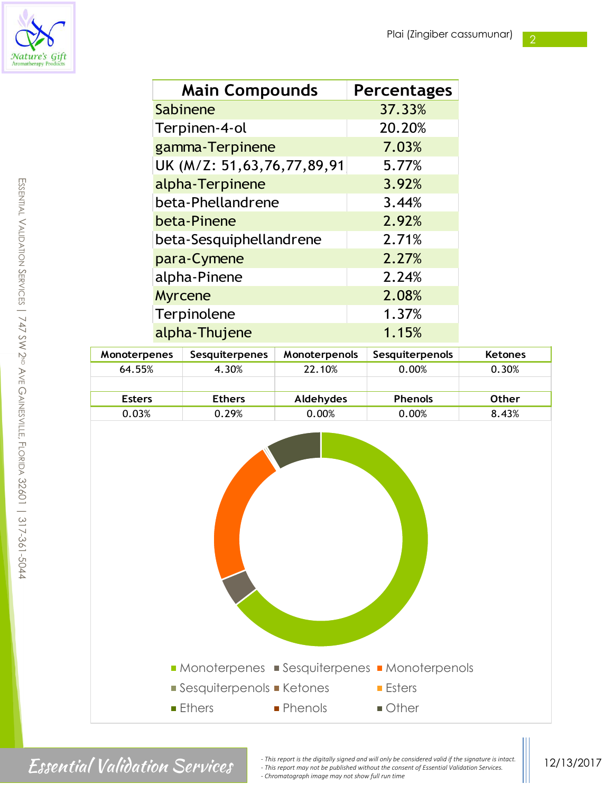2



| <b>Main Compounds</b>      | <b>Percentages</b> |
|----------------------------|--------------------|
| Sabinene                   | 37.33%             |
| Terpinen-4-ol              | 20.20%             |
| gamma-Terpinene            | 7.03%              |
| UK (M/Z: 51,63,76,77,89,91 | 5.77%              |
| alpha-Terpinene            | 3.92%              |
| beta-Phellandrene          | 3.44%              |
| beta-Pinene                | 2.92%              |
| beta-Sesquiphellandrene    | 2.71%              |
| para-Cymene                | 2.27%              |
| alpha-Pinene               | 2.24%              |
| <b>Myrcene</b>             | 2.08%              |
| Terpinolene                | 1.37%              |
| alpha-Thujene              | 1.15%              |

| <b>Monoterpenes</b> | <b>Sesquiterpenes</b> | <b>Monoterpenols</b> | Sesquiterpenols | <b>Ketones</b> |
|---------------------|-----------------------|----------------------|-----------------|----------------|
| 64.55%              | 4.30%                 | 22.10%               | 0.00%           | 0.30%          |
|                     |                       |                      |                 |                |
| <b>Esters</b>       | <b>Ethers</b>         | Aldehydes            | <b>Phenols</b>  | <b>Other</b>   |
| 0.03%               | 0.29%                 | 0.00%                | 0.00%           | 8.43%          |



Finis report is the digitally signed and will only be considered valid if the signature is intact.<br>
This report may not be published without the consent of Essential Validation Services. *- This report may not be published without the consent of Essential Validation Services. - Chromatograph image may not show full run time*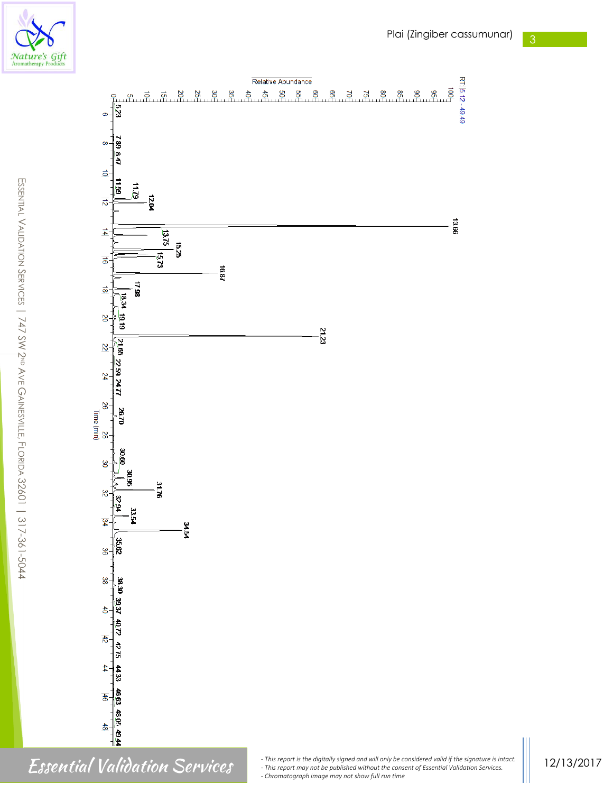



RT: 5.12 - 49.49

SSENTIAL  $\,<$ ALIDATION  $\backsim$ ERVICES | 747 SW 2ND AVE GAINESVILLE.<br>ה LORIDA 32601 | 317-361-5044

m

*- Chromatograph image may not show full run time*

12/13/2017

Finis report is the digitally signed and will only be considered valid if the signature is intact.<br>
This report may not be published without the consent of Essential Validation Services.<br>
Chromatograph image may not show f *- This report may not be published without the consent of Essential Validation Services.*